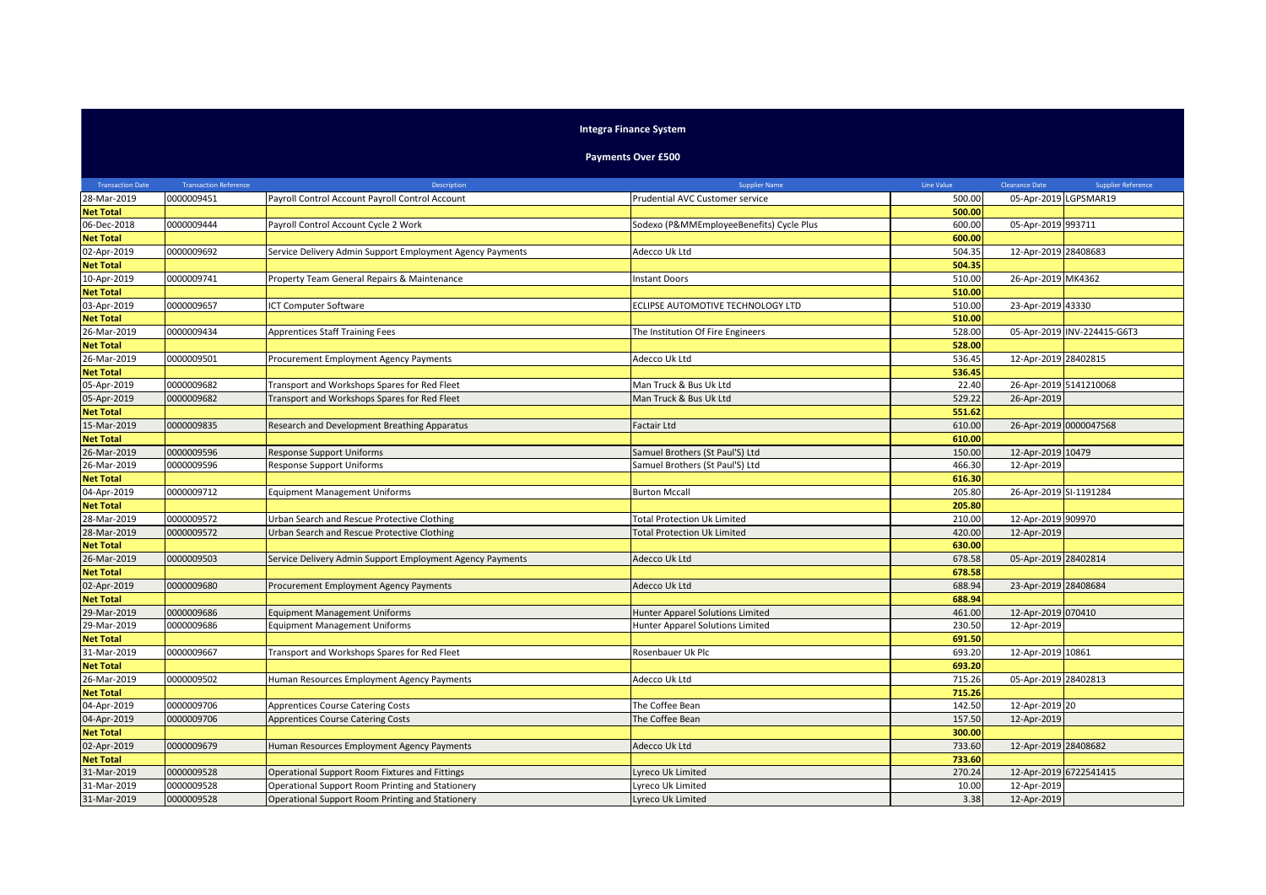## **Integra Finance System**

## **Payments Over £500**

| <b>Transaction Date</b> | <b>Transaction Reference</b> | Description                                               | <b>Supplier Name</b>                     | Line Value | <b>Clearance Date</b>  | <b>Supplier Reference</b>   |
|-------------------------|------------------------------|-----------------------------------------------------------|------------------------------------------|------------|------------------------|-----------------------------|
| 28-Mar-2019             | 0000009451                   | Payroll Control Account Payroll Control Account           | Prudential AVC Customer service          | 500.00     |                        | 05-Apr-2019 LGPSMAR19       |
| <b>Net Total</b>        |                              |                                                           |                                          | 500.00     |                        |                             |
| 06-Dec-2018             | 0000009444                   | Payroll Control Account Cycle 2 Work                      | Sodexo (P&MMEmployeeBenefits) Cycle Plus | 600.00     | 05-Apr-2019 993711     |                             |
| <b>Net Total</b>        |                              |                                                           |                                          | 600.00     |                        |                             |
| 02-Apr-2019             | 0000009692                   | Service Delivery Admin Support Employment Agency Payments | Adecco Uk Ltd                            | 504.35     | 12-Apr-2019 28408683   |                             |
| <b>Net Total</b>        |                              |                                                           |                                          | 504.35     |                        |                             |
| 10-Apr-2019             | 0000009741                   | Property Team General Repairs & Maintenance               | Instant Doors                            | 510.00     | 26-Apr-2019 MK4362     |                             |
| <b>Net Total</b>        |                              |                                                           |                                          | 510.00     |                        |                             |
| 03-Apr-2019             | 0000009657                   | ICT Computer Software                                     | ECLIPSE AUTOMOTIVE TECHNOLOGY LTD        | 510.00     | 23-Apr-2019 43330      |                             |
| <b>Net Total</b>        |                              |                                                           |                                          | 510.00     |                        |                             |
| 26-Mar-2019             | 0000009434                   | <b>Apprentices Staff Training Fees</b>                    | The Institution Of Fire Engineers        | 528.00     |                        | 05-Apr-2019 INV-224415-G6T3 |
| <b>Net Total</b>        |                              |                                                           |                                          | 528.00     |                        |                             |
| 26-Mar-2019             | 0000009501                   | Procurement Employment Agency Payments                    | Adecco Uk Ltd                            | 536.45     | 12-Apr-2019 28402815   |                             |
| <b>Net Total</b>        |                              |                                                           |                                          | 536.45     |                        |                             |
| 05-Apr-2019             | 0000009682                   | Transport and Workshops Spares for Red Fleet              | Man Truck & Bus Uk Ltd                   | 22.40      |                        | 26-Apr-2019 5141210068      |
| 05-Apr-2019             | 0000009682                   | Transport and Workshops Spares for Red Fleet              | Man Truck & Bus Uk Ltd                   | 529.22     | 26-Apr-2019            |                             |
| <b>Net Total</b>        |                              |                                                           |                                          | 551.62     |                        |                             |
| 15-Mar-2019             | 0000009835                   | Research and Development Breathing Apparatus              | Factair Ltd                              | 610.00     |                        | 26-Apr-2019 0000047568      |
| <b>Net Total</b>        |                              |                                                           |                                          | 610.00     |                        |                             |
| 26-Mar-2019             | 0000009596                   | Response Support Uniforms                                 | Samuel Brothers (St Paul'S) Ltd          | 150.00     | 12-Apr-2019 10479      |                             |
| 26-Mar-2019             | 0000009596                   | Response Support Uniforms                                 | Samuel Brothers (St Paul'S) Ltd          | 466.30     | 12-Apr-2019            |                             |
| <b>Net Total</b>        |                              |                                                           |                                          | 616.30     |                        |                             |
| 04-Apr-2019             | 0000009712                   | <b>Equipment Management Uniforms</b>                      | <b>Burton Mccall</b>                     | 205.80     | 26-Apr-2019 SI-1191284 |                             |
| <b>Net Total</b>        |                              |                                                           |                                          | 205.80     |                        |                             |
| 28-Mar-2019             | 0000009572                   | Urban Search and Rescue Protective Clothing               | <b>Total Protection Uk Limited</b>       | 210.00     | 12-Apr-2019 909970     |                             |
| 28-Mar-2019             | 0000009572                   | Urban Search and Rescue Protective Clothing               | <b>Total Protection Uk Limited</b>       | 420.00     | 12-Apr-2019            |                             |
| <b>Net Total</b>        |                              |                                                           |                                          | 630.00     |                        |                             |
| 26-Mar-2019             | 0000009503                   | Service Delivery Admin Support Employment Agency Payments | Adecco Uk Ltd                            | 678.58     | 05-Apr-2019 28402814   |                             |
| <b>Net Total</b>        |                              |                                                           |                                          | 678.58     |                        |                             |
| 02-Apr-2019             | 0000009680                   | Procurement Employment Agency Payments                    | Adecco Uk Ltd                            | 688.94     | 23-Apr-2019 28408684   |                             |
| <b>Net Total</b>        |                              |                                                           |                                          | 688.94     |                        |                             |
| 29-Mar-2019             | 0000009686                   | <b>Equipment Management Uniforms</b>                      | Hunter Apparel Solutions Limited         | 461.00     | 12-Apr-2019 070410     |                             |
| 29-Mar-2019             | 0000009686                   | <b>Equipment Management Uniforms</b>                      | Hunter Apparel Solutions Limited         | 230.50     | 12-Apr-2019            |                             |
| <b>Net Total</b>        |                              |                                                           |                                          | 691.50     |                        |                             |
| 31-Mar-2019             | 0000009667                   | Transport and Workshops Spares for Red Fleet              | Rosenbauer Uk Plc                        | 693.20     | 12-Apr-2019 10861      |                             |
| <b>Net Total</b>        |                              |                                                           |                                          | 693.20     |                        |                             |
| 26-Mar-2019             | 0000009502                   | Human Resources Employment Agency Payments                | Adecco Uk Ltd                            | 715.26     | 05-Apr-2019 28402813   |                             |
| <b>Net Total</b>        |                              |                                                           |                                          | 715.26     |                        |                             |
| 04-Apr-2019             | 0000009706                   | Apprentices Course Catering Costs                         | The Coffee Bean                          | 142.50     | 12-Apr-2019 20         |                             |
| 04-Apr-2019             | 0000009706                   | Apprentices Course Catering Costs                         | The Coffee Bean                          | 157.50     | 12-Apr-2019            |                             |
| <b>Net Total</b>        |                              |                                                           |                                          | 300.00     |                        |                             |
| 02-Apr-2019             | 0000009679                   | Human Resources Employment Agency Payments                | Adecco Uk Ltd                            | 733.60     | 12-Apr-2019 28408682   |                             |
| <b>Net Total</b>        |                              |                                                           |                                          | 733.60     |                        |                             |
| 31-Mar-2019             | 0000009528                   | Operational Support Room Fixtures and Fittings            | Lyreco Uk Limited                        | 270.24     |                        | 12-Apr-2019 6722541415      |
| 31-Mar-2019             | 0000009528                   | Operational Support Room Printing and Stationery          | Lyreco Uk Limited                        | 10.00      | 12-Apr-2019            |                             |
| 31-Mar-2019             | 0000009528                   | Operational Support Room Printing and Stationery          | Lyreco Uk Limited                        | 3.38       | 12-Apr-2019            |                             |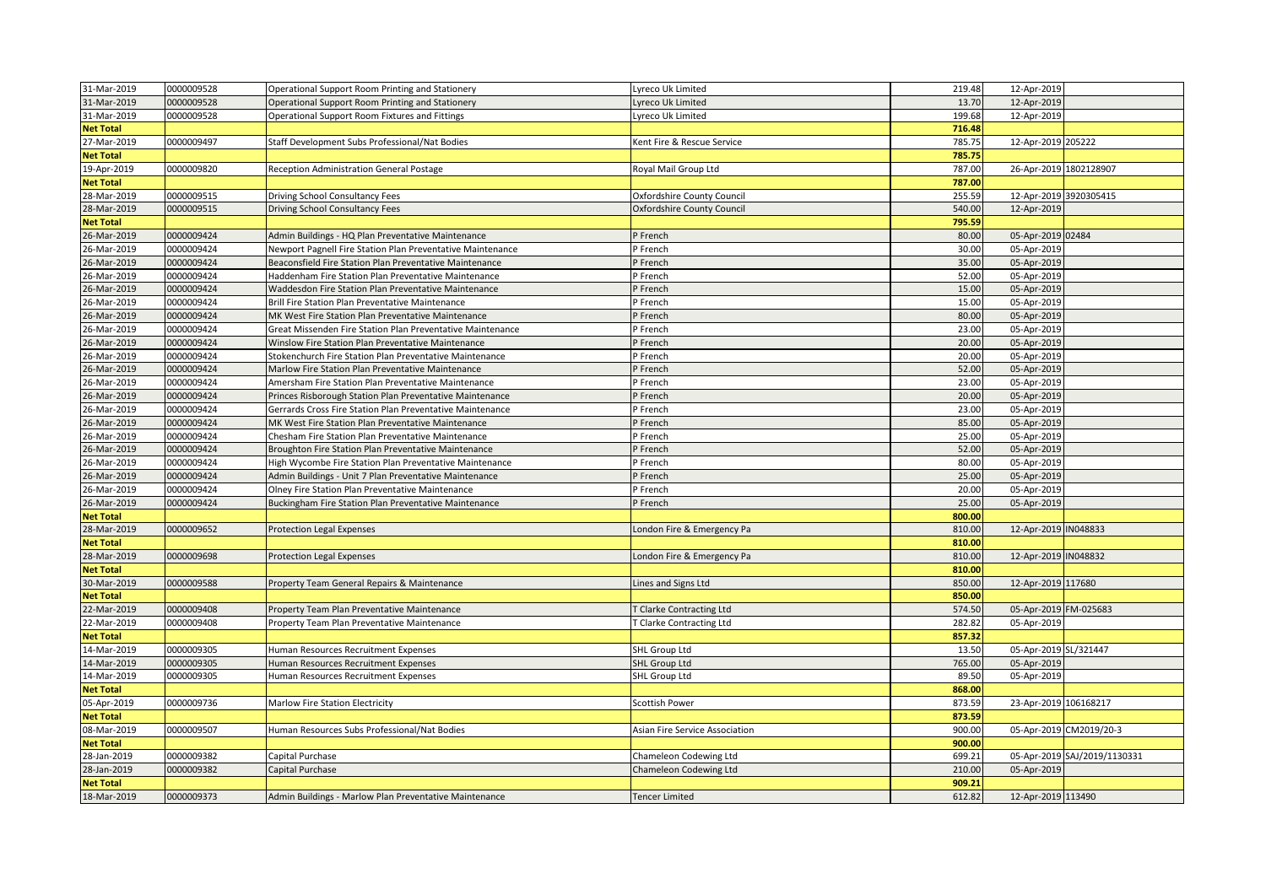| 31-Mar-2019                | 0000009528               | Operational Support Room Printing and Stationery           | Lyreco Uk Limited                                | 219.48           | 12-Apr-2019                                 |
|----------------------------|--------------------------|------------------------------------------------------------|--------------------------------------------------|------------------|---------------------------------------------|
| 31-Mar-2019                | 0000009528               | Operational Support Room Printing and Stationery           | Lyreco Uk Limited                                | 13.70            | 12-Apr-2019                                 |
| 31-Mar-2019                | 0000009528               | Operational Support Room Fixtures and Fittings             | Lyreco Uk Limited                                | 199.68           | 12-Apr-2019                                 |
| <b>Net Total</b>           |                          |                                                            |                                                  | 716.48           |                                             |
| 27-Mar-2019                | 0000009497               | Staff Development Subs Professional/Nat Bodies             | Kent Fire & Rescue Service                       | 785.75           | 12-Apr-2019 205222                          |
| <b>Net Total</b>           |                          |                                                            |                                                  | 785.75           |                                             |
| 19-Apr-2019                | 0000009820               | Reception Administration General Postage                   | Royal Mail Group Ltd                             | 787.00           | 26-Apr-2019 1802128907                      |
| <b>Net Total</b>           |                          |                                                            |                                                  | 787.00           |                                             |
| 28-Mar-2019                | 0000009515               | Driving School Consultancy Fees                            | Oxfordshire County Council                       | 255.59           | 12-Apr-2019 3920305415                      |
| 28-Mar-2019                | 0000009515               | Driving School Consultancy Fees                            | Oxfordshire County Council                       | 540.00           | 12-Apr-2019                                 |
| <b>Net Total</b>           |                          |                                                            |                                                  | 795.59           |                                             |
| 26-Mar-2019                | 0000009424               | Admin Buildings - HQ Plan Preventative Maintenance         | P French                                         | 80.00            | 05-Apr-2019 02484                           |
| 26-Mar-2019                | 0000009424               | Newport Pagnell Fire Station Plan Preventative Maintenance | P French                                         | 30.00            | 05-Apr-2019                                 |
| 26-Mar-2019                | 0000009424               | Beaconsfield Fire Station Plan Preventative Maintenance    | P French                                         | 35.00            | 05-Apr-2019                                 |
| 26-Mar-2019                | 0000009424               | Haddenham Fire Station Plan Preventative Maintenance       | P French                                         | 52.00            | 05-Apr-2019                                 |
| 26-Mar-2019                | 0000009424               | Waddesdon Fire Station Plan Preventative Maintenance       | P French                                         | 15.00            | 05-Apr-2019                                 |
| 26-Mar-2019                | 0000009424               | Brill Fire Station Plan Preventative Maintenance           | P French                                         | 15.00            | 05-Apr-2019                                 |
| 26-Mar-2019                | 0000009424               | MK West Fire Station Plan Preventative Maintenance         | P French                                         | 80.00            | 05-Apr-2019                                 |
| 26-Mar-2019                | 0000009424               | Great Missenden Fire Station Plan Preventative Maintenance | P French                                         | 23.00            | 05-Apr-2019                                 |
| 26-Mar-2019                | 0000009424               | Winslow Fire Station Plan Preventative Maintenance         | P French                                         | 20.00            | 05-Apr-2019                                 |
| 26-Mar-2019                | 0000009424               | Stokenchurch Fire Station Plan Preventative Maintenance    | P French                                         | 20.00            | 05-Apr-2019                                 |
| 26-Mar-2019                | 0000009424               | Marlow Fire Station Plan Preventative Maintenance          | P French                                         | 52.00            | 05-Apr-2019                                 |
| 26-Mar-2019                | 0000009424               | Amersham Fire Station Plan Preventative Maintenance        | P French                                         | 23.00            | 05-Apr-2019                                 |
| 26-Mar-2019                | 0000009424               | Princes Risborough Station Plan Preventative Maintenance   | P French                                         | 20.00            | 05-Apr-2019                                 |
| 26-Mar-2019                | 0000009424               | Gerrards Cross Fire Station Plan Preventative Maintenance  | P French                                         | 23.00            | 05-Apr-2019                                 |
| 26-Mar-2019                | 0000009424               | MK West Fire Station Plan Preventative Maintenance         | P French                                         | 85.00            | 05-Apr-2019                                 |
| 26-Mar-2019                | 0000009424               | Chesham Fire Station Plan Preventative Maintenance         | P French                                         | 25.00            | 05-Apr-2019                                 |
| 26-Mar-2019                | 0000009424               | Broughton Fire Station Plan Preventative Maintenance       | P French                                         | 52.00            | 05-Apr-2019                                 |
| 26-Mar-2019                | 0000009424               | High Wycombe Fire Station Plan Preventative Maintenance    | P French                                         | 80.00            | 05-Apr-2019                                 |
| 26-Mar-2019                | 0000009424               | Admin Buildings - Unit 7 Plan Preventative Maintenance     | P French                                         | 25.00            | 05-Apr-2019                                 |
| 26-Mar-2019                | 0000009424               | Olney Fire Station Plan Preventative Maintenance           | P French                                         | 20.00            | 05-Apr-2019                                 |
| 26-Mar-2019                | 0000009424               | Buckingham Fire Station Plan Preventative Maintenance      | P French                                         | 25.00            | 05-Apr-2019                                 |
| <b>Net Total</b>           |                          |                                                            |                                                  | 800.00           |                                             |
| 28-Mar-2019                | 0000009652               | <b>Protection Legal Expenses</b>                           | London Fire & Emergency Pa                       | 810.00           | 12-Apr-2019 IN048833                        |
| <b>Net Total</b>           |                          |                                                            |                                                  | 810.00           |                                             |
| 28-Mar-2019                | 0000009698               | <b>Protection Legal Expenses</b>                           | London Fire & Emergency Pa                       | 810.00           | 12-Apr-2019 IN048832                        |
| <b>Net Total</b>           |                          |                                                            |                                                  | 810.00           |                                             |
| 30-Mar-2019                | 0000009588               | Property Team General Repairs & Maintenance                | Lines and Signs Ltd                              | 850.00           | 12-Apr-2019 117680                          |
| <b>Net Total</b>           |                          |                                                            |                                                  | 850.00           |                                             |
| 22-Mar-2019                | 0000009408               | Property Team Plan Preventative Maintenance                | T Clarke Contracting Ltd                         | 574.50           | 05-Apr-2019 FM-025683                       |
| 22-Mar-2019                | 0000009408               | Property Team Plan Preventative Maintenance                | Clarke Contracting Ltd                           | 282.82           | 05-Apr-2019                                 |
| <b>Net Total</b>           |                          |                                                            |                                                  | 857.32           |                                             |
| 14-Mar-2019                | 0000009305               | Human Resources Recruitment Expenses                       | <b>SHL Group Ltd</b>                             | 13.50            | 05-Apr-2019 SL/321447                       |
| 14-Mar-2019                | 0000009305               | Human Resources Recruitment Expenses                       | <b>SHL Group Ltd</b>                             | 765.00           | 05-Apr-2019                                 |
| 14-Mar-2019                | 0000009305               | Human Resources Recruitment Expenses                       | SHL Group Ltd                                    | 89.50            | 05-Apr-2019                                 |
| <b>Net Total</b>           |                          |                                                            |                                                  | 868.00           |                                             |
| 05-Apr-2019                | 0000009736               | Marlow Fire Station Electricity                            | <b>Scottish Power</b>                            | 873.59           | 23-Apr-2019 106168217                       |
| <b>Net Total</b>           |                          |                                                            |                                                  | 873.59           |                                             |
| 08-Mar-2019                | 0000009507               | Human Resources Subs Professional/Nat Bodies               | Asian Fire Service Association                   | 900.00<br>900.00 | 05-Apr-2019 CM2019/20-3                     |
| <b>Net Total</b>           |                          |                                                            |                                                  | 699.21           |                                             |
| 28-Jan-2019<br>28-Jan-2019 | 0000009382<br>0000009382 | Capital Purchase<br>Capital Purchase                       | Chameleon Codewing Ltd<br>Chameleon Codewing Ltd | 210.00           | 05-Apr-2019 SAJ/2019/1130331<br>05-Apr-2019 |
| <b>Net Total</b>           |                          |                                                            |                                                  | 909.21           |                                             |
| 18-Mar-2019                | 0000009373               |                                                            | <b>Tencer Limited</b>                            | 612.82           |                                             |
|                            |                          | Admin Buildings - Marlow Plan Preventative Maintenance     |                                                  |                  | 12-Apr-2019 113490                          |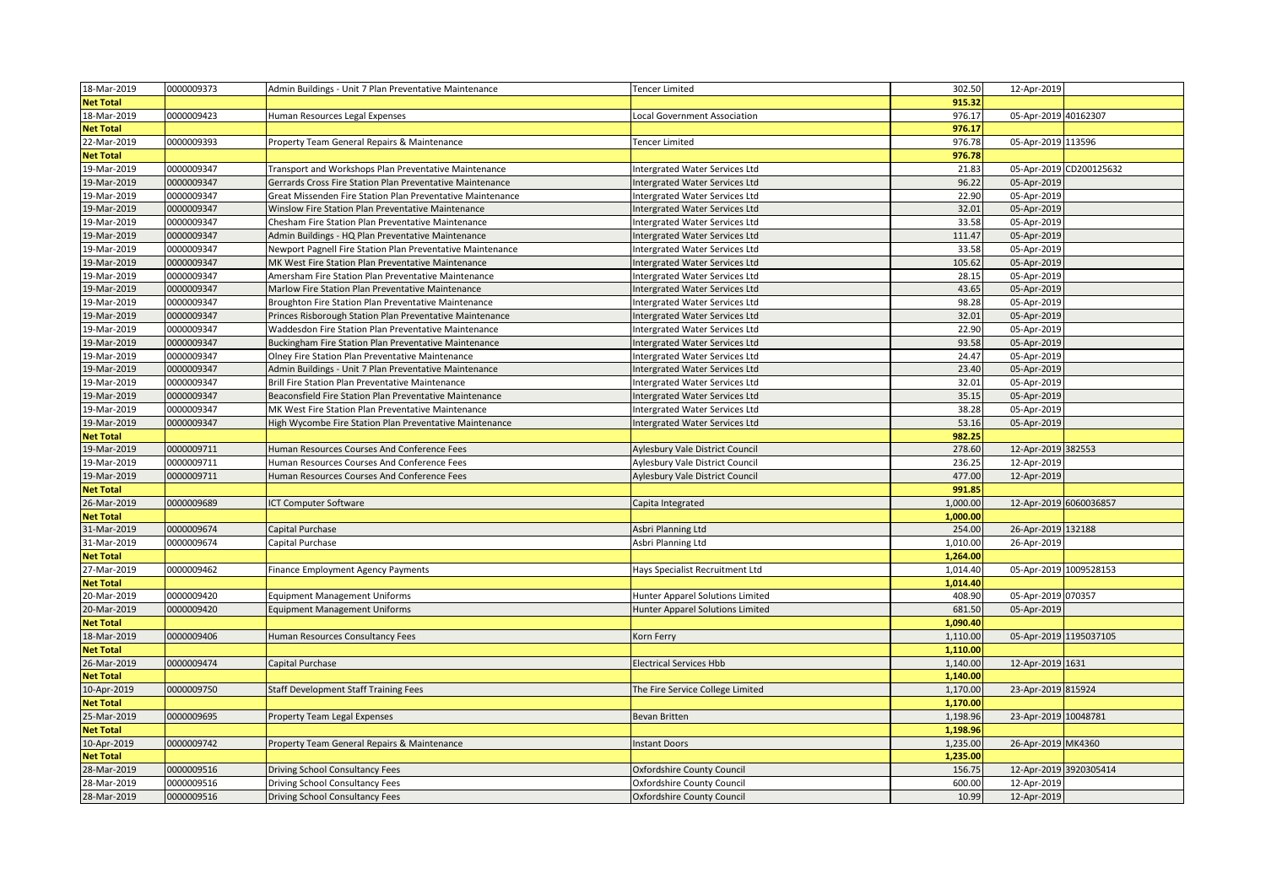| 18-Mar-2019      | 0000009373 | Admin Buildings - Unit 7 Plan Preventative Maintenance     | <b>Tencer Limited</b>            | 302.50   | 12-Apr-2019            |                         |
|------------------|------------|------------------------------------------------------------|----------------------------------|----------|------------------------|-------------------------|
| <b>Net Total</b> |            |                                                            |                                  | 915.32   |                        |                         |
| 18-Mar-2019      | 0000009423 | Human Resources Legal Expenses                             | Local Government Association     | 976.17   | 05-Apr-2019 40162307   |                         |
| <b>Net Total</b> |            |                                                            |                                  | 976.17   |                        |                         |
| 22-Mar-2019      | 0000009393 | Property Team General Repairs & Maintenance                | <b>Tencer Limited</b>            | 976.78   | 05-Apr-2019 113596     |                         |
| <b>Net Total</b> |            |                                                            |                                  | 976.78   |                        |                         |
| 19-Mar-2019      | 0000009347 | Transport and Workshops Plan Preventative Maintenance      | Intergrated Water Services Ltd   | 21.83    |                        | 05-Apr-2019 CD200125632 |
| 19-Mar-2019      | 0000009347 | Gerrards Cross Fire Station Plan Preventative Maintenance  | Intergrated Water Services Ltd   | 96.22    | 05-Apr-2019            |                         |
| 19-Mar-2019      | 0000009347 | Great Missenden Fire Station Plan Preventative Maintenance | Intergrated Water Services Ltd   | 22.90    | 05-Apr-2019            |                         |
| 19-Mar-2019      | 0000009347 | Winslow Fire Station Plan Preventative Maintenance         | Intergrated Water Services Ltd   | 32.01    | 05-Apr-2019            |                         |
| 19-Mar-2019      | 0000009347 | Chesham Fire Station Plan Preventative Maintenance         | Intergrated Water Services Ltd   | 33.58    | 05-Apr-2019            |                         |
| 19-Mar-2019      | 0000009347 | Admin Buildings - HQ Plan Preventative Maintenance         | Intergrated Water Services Ltd   | 111.47   | 05-Apr-2019            |                         |
| 19-Mar-2019      | 0000009347 | Newport Pagnell Fire Station Plan Preventative Maintenance | Intergrated Water Services Ltd   | 33.58    | 05-Apr-2019            |                         |
| 19-Mar-2019      | 0000009347 | MK West Fire Station Plan Preventative Maintenance         | Intergrated Water Services Ltd   | 105.62   | 05-Apr-2019            |                         |
| 19-Mar-2019      | 0000009347 | Amersham Fire Station Plan Preventative Maintenance        | Intergrated Water Services Ltd   | 28.15    | 05-Apr-2019            |                         |
| 19-Mar-2019      | 0000009347 | Marlow Fire Station Plan Preventative Maintenance          | Intergrated Water Services Ltd   | 43.65    | 05-Apr-2019            |                         |
| 19-Mar-2019      | 0000009347 | Broughton Fire Station Plan Preventative Maintenance       | Intergrated Water Services Ltd   | 98.28    | 05-Apr-2019            |                         |
| 19-Mar-2019      | 0000009347 | Princes Risborough Station Plan Preventative Maintenance   | Intergrated Water Services Ltd   | 32.01    | 05-Apr-2019            |                         |
| 19-Mar-2019      | 0000009347 | Waddesdon Fire Station Plan Preventative Maintenance       | Intergrated Water Services Ltd   | 22.90    | 05-Apr-2019            |                         |
| 19-Mar-2019      | 0000009347 | Buckingham Fire Station Plan Preventative Maintenance      | Intergrated Water Services Ltd   | 93.58    | 05-Apr-2019            |                         |
| 19-Mar-2019      | 0000009347 | Olney Fire Station Plan Preventative Maintenance           | Intergrated Water Services Ltd   | 24.47    | 05-Apr-2019            |                         |
| 19-Mar-2019      | 0000009347 | Admin Buildings - Unit 7 Plan Preventative Maintenance     | Intergrated Water Services Ltd   | 23.40    | 05-Apr-2019            |                         |
| 19-Mar-2019      | 0000009347 | Brill Fire Station Plan Preventative Maintenance           | Intergrated Water Services Ltd   | 32.01    | 05-Apr-2019            |                         |
| 19-Mar-2019      | 0000009347 | Beaconsfield Fire Station Plan Preventative Maintenance    | Intergrated Water Services Ltd   | 35.15    | 05-Apr-2019            |                         |
| 19-Mar-2019      | 0000009347 | MK West Fire Station Plan Preventative Maintenance         | Intergrated Water Services Ltd   | 38.28    | 05-Apr-2019            |                         |
| 19-Mar-2019      | 0000009347 | High Wycombe Fire Station Plan Preventative Maintenance    | Intergrated Water Services Ltd   | 53.16    | 05-Apr-2019            |                         |
| <b>Net Total</b> |            |                                                            |                                  | 982.25   |                        |                         |
| 19-Mar-2019      | 0000009711 | Human Resources Courses And Conference Fees                | Aylesbury Vale District Council  | 278.60   | 12-Apr-2019 382553     |                         |
| 19-Mar-2019      | 0000009711 | Human Resources Courses And Conference Fees                | Aylesbury Vale District Council  | 236.25   | 12-Apr-2019            |                         |
| 19-Mar-2019      | 0000009711 | Human Resources Courses And Conference Fees                | Aylesbury Vale District Council  | 477.00   | 12-Apr-2019            |                         |
| <b>Net Total</b> |            |                                                            |                                  | 991.85   |                        |                         |
| 26-Mar-2019      | 0000009689 | ICT Computer Software                                      | Capita Integrated                | 1,000.00 | 12-Apr-2019 6060036857 |                         |
| <b>Net Total</b> |            |                                                            |                                  | 1,000.00 |                        |                         |
| 31-Mar-2019      | 0000009674 | Capital Purchase                                           | Asbri Planning Ltd               | 254.00   | 26-Apr-2019 132188     |                         |
| 31-Mar-2019      | 0000009674 | Capital Purchase                                           | Asbri Planning Ltd               | 1,010.00 | 26-Apr-2019            |                         |
| <b>Net Total</b> |            |                                                            |                                  | 1,264.00 |                        |                         |
| 27-Mar-2019      | 0000009462 | Finance Employment Agency Payments                         | Hays Specialist Recruitment Ltd  | 1,014.40 | 05-Apr-2019 1009528153 |                         |
| <b>Net Total</b> |            |                                                            |                                  | 1,014.40 |                        |                         |
| 20-Mar-2019      | 0000009420 | <b>Equipment Management Uniforms</b>                       | Hunter Apparel Solutions Limited | 408.90   | 05-Apr-2019 070357     |                         |
| 20-Mar-2019      | 0000009420 | <b>Equipment Management Uniforms</b>                       | Hunter Apparel Solutions Limited | 681.50   | 05-Apr-2019            |                         |
| <b>Net Total</b> |            |                                                            |                                  | 1,090.40 |                        |                         |
| 18-Mar-2019      | 0000009406 | Human Resources Consultancy Fees                           | Korn Ferry                       | 1,110.00 | 05-Apr-2019 1195037105 |                         |
| <b>Net Total</b> |            |                                                            |                                  | 1,110.00 |                        |                         |
| 26-Mar-2019      | 0000009474 | Capital Purchase                                           | <b>Electrical Services Hbb</b>   | 1,140.00 | 12-Apr-2019 1631       |                         |
| <b>Net Total</b> |            |                                                            |                                  | 1,140.00 |                        |                         |
| 10-Apr-2019      | 0000009750 | Staff Development Staff Training Fees                      | The Fire Service College Limited | 1,170.00 | 23-Apr-2019 815924     |                         |
| <b>Net Total</b> |            |                                                            |                                  | 1,170.00 |                        |                         |
| 25-Mar-2019      | 0000009695 | Property Team Legal Expenses                               | Bevan Britten                    | 1,198.96 | 23-Apr-2019 10048781   |                         |
| <b>Net Total</b> |            |                                                            |                                  | 1,198.96 |                        |                         |
| 10-Apr-2019      | 0000009742 | Property Team General Repairs & Maintenance                | <b>Instant Doors</b>             | 1,235.00 | 26-Apr-2019 MK4360     |                         |
| <b>Net Total</b> |            |                                                            |                                  | 1,235.00 |                        |                         |
| 28-Mar-2019      | 0000009516 | Driving School Consultancy Fees                            | Oxfordshire County Council       | 156.75   | 12-Apr-2019 3920305414 |                         |
| 28-Mar-2019      | 0000009516 | Driving School Consultancy Fees                            | Oxfordshire County Council       | 600.00   | 12-Apr-2019            |                         |
| 28-Mar-2019      | 0000009516 | Driving School Consultancy Fees                            | Oxfordshire County Council       | 10.99    | 12-Apr-2019            |                         |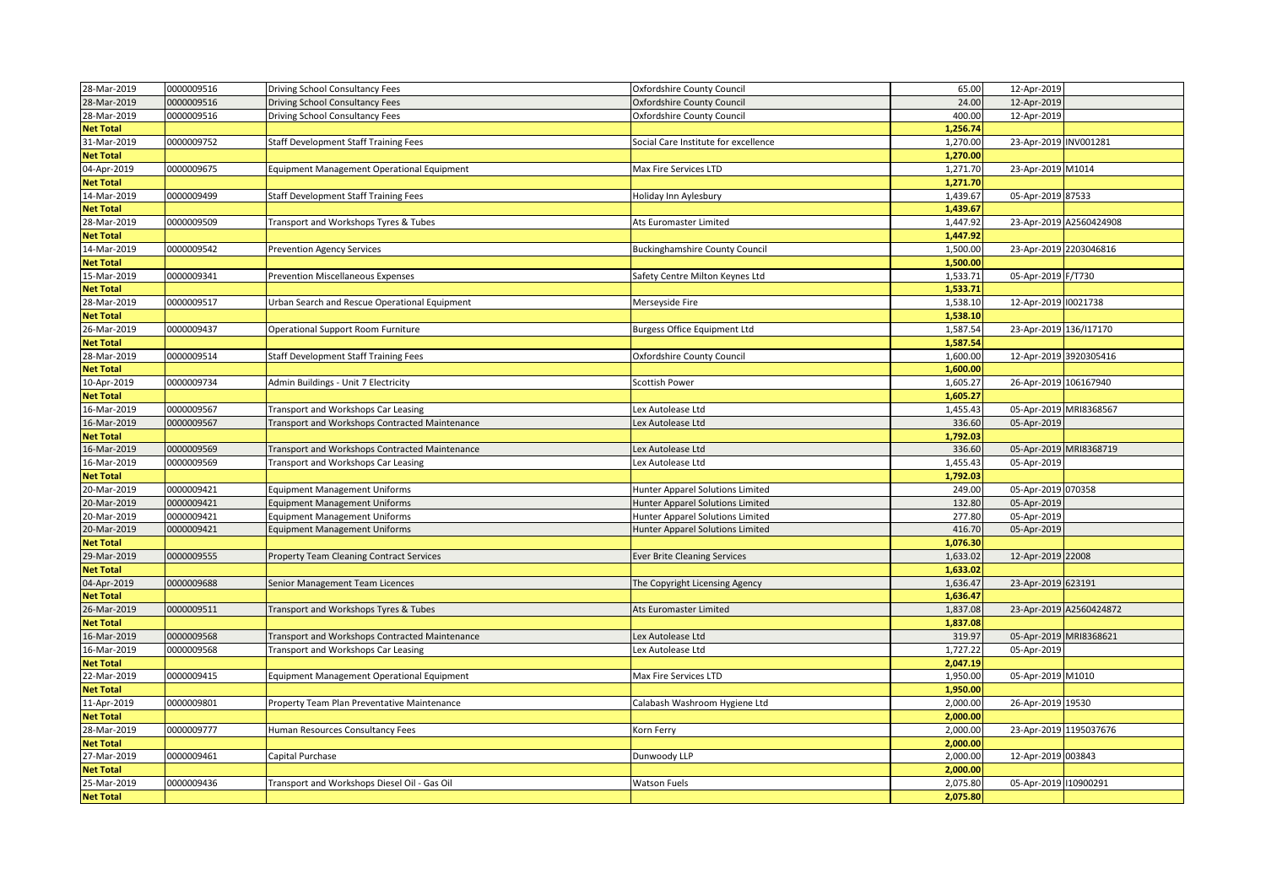| 28-Mar-2019      | 0000009516 | Driving School Consultancy Fees                | Oxfordshire County Council            | 65.00    | 12-Apr-2019            |                         |
|------------------|------------|------------------------------------------------|---------------------------------------|----------|------------------------|-------------------------|
| 28-Mar-2019      | 0000009516 | Driving School Consultancy Fees                | Oxfordshire County Council            | 24.00    | 12-Apr-2019            |                         |
| 28-Mar-2019      | 0000009516 | Driving School Consultancy Fees                | Oxfordshire County Council            | 400.00   | 12-Apr-2019            |                         |
| <b>Net Total</b> |            |                                                |                                       | 1,256.74 |                        |                         |
| 31-Mar-2019      | 0000009752 | Staff Development Staff Training Fees          | Social Care Institute for excellence  | 1,270.00 | 23-Apr-2019 INV001281  |                         |
| <b>Net Total</b> |            |                                                |                                       | 1,270.00 |                        |                         |
| 04-Apr-2019      | 0000009675 | Equipment Management Operational Equipment     | Max Fire Services LTD                 | 1,271.70 | 23-Apr-2019 M1014      |                         |
| <b>Net Total</b> |            |                                                |                                       | 1,271.70 |                        |                         |
| 14-Mar-2019      | 0000009499 | Staff Development Staff Training Fees          | Holiday Inn Aylesbury                 | 1,439.67 | 05-Apr-2019 87533      |                         |
| <b>Net Total</b> |            |                                                |                                       | 1,439.67 |                        |                         |
| 28-Mar-2019      | 0000009509 | Transport and Workshops Tyres & Tubes          | Ats Euromaster Limited                | 1,447.92 |                        | 23-Apr-2019 A2560424908 |
| <b>Net Total</b> |            |                                                |                                       | 1,447.92 |                        |                         |
| 14-Mar-2019      | 0000009542 | <b>Prevention Agency Services</b>              | <b>Buckinghamshire County Council</b> | 1,500.00 | 23-Apr-2019 2203046816 |                         |
| <b>Net Total</b> |            |                                                |                                       | 1,500.00 |                        |                         |
| 15-Mar-2019      | 0000009341 | <b>Prevention Miscellaneous Expenses</b>       | Safety Centre Milton Keynes Ltd       | 1,533.71 | 05-Apr-2019 F/T730     |                         |
| <b>Net Total</b> |            |                                                |                                       | 1,533.71 |                        |                         |
| 28-Mar-2019      | 0000009517 | Urban Search and Rescue Operational Equipment  | Merseyside Fire                       | 1,538.10 | 12-Apr-2019 10021738   |                         |
| <b>Net Total</b> |            |                                                |                                       | 1,538.10 |                        |                         |
| 26-Mar-2019      | 0000009437 | Operational Support Room Furniture             | <b>Burgess Office Equipment Ltd</b>   | 1,587.54 | 23-Apr-2019 136/117170 |                         |
| <b>Net Total</b> |            |                                                |                                       | 1,587.54 |                        |                         |
| 28-Mar-2019      | 0000009514 | Staff Development Staff Training Fees          | Oxfordshire County Council            | 1,600.00 | 12-Apr-2019 3920305416 |                         |
| <b>Net Total</b> |            |                                                |                                       | 1,600.00 |                        |                         |
| 10-Apr-2019      | 0000009734 | Admin Buildings - Unit 7 Electricity           | Scottish Power                        | 1,605.27 | 26-Apr-2019 106167940  |                         |
| <b>Net Total</b> |            |                                                |                                       | 1,605.27 |                        |                         |
| 16-Mar-2019      | 0000009567 | Transport and Workshops Car Leasing            | Lex Autolease Ltd                     | 1,455.43 | 05-Apr-2019 MRI8368567 |                         |
| 16-Mar-2019      | 0000009567 | Transport and Workshops Contracted Maintenance | Lex Autolease Ltd                     | 336.60   | 05-Apr-2019            |                         |
| <b>Net Total</b> |            |                                                |                                       | 1,792.03 |                        |                         |
| 16-Mar-2019      | 0000009569 | Transport and Workshops Contracted Maintenance | Lex Autolease Ltd                     | 336.60   | 05-Apr-2019 MRI8368719 |                         |
| 16-Mar-2019      | 0000009569 | Transport and Workshops Car Leasing            | Lex Autolease Ltd                     | 1,455.43 | 05-Apr-2019            |                         |
| <b>Net Total</b> |            |                                                |                                       | 1,792.03 |                        |                         |
| 20-Mar-2019      | 0000009421 | <b>Equipment Management Uniforms</b>           | Hunter Apparel Solutions Limited      | 249.00   | 05-Apr-2019 070358     |                         |
| 20-Mar-2019      | 0000009421 | <b>Equipment Management Uniforms</b>           | Hunter Apparel Solutions Limited      | 132.80   | 05-Apr-2019            |                         |
| 20-Mar-2019      | 0000009421 | <b>Equipment Management Uniforms</b>           | Hunter Apparel Solutions Limited      | 277.80   | 05-Apr-2019            |                         |
| 20-Mar-2019      | 0000009421 | <b>Equipment Management Uniforms</b>           | Hunter Apparel Solutions Limited      | 416.70   | 05-Apr-2019            |                         |
| <b>Net Total</b> |            |                                                |                                       | 1,076.30 |                        |                         |
| 29-Mar-2019      | 0000009555 | Property Team Cleaning Contract Services       | <b>Ever Brite Cleaning Services</b>   | 1,633.02 | 12-Apr-2019 22008      |                         |
| <b>Net Total</b> |            |                                                |                                       | 1,633.02 |                        |                         |
| 04-Apr-2019      | 0000009688 | Senior Management Team Licences                | The Copyright Licensing Agency        | 1,636.47 | 23-Apr-2019 623191     |                         |
| <b>Net Total</b> |            |                                                |                                       | 1,636.47 |                        |                         |
| 26-Mar-2019      | 0000009511 | Transport and Workshops Tyres & Tubes          | Ats Euromaster Limited                | 1,837.08 |                        | 23-Apr-2019 A2560424872 |
| <b>Net Total</b> |            |                                                |                                       | 1,837.08 |                        |                         |
| 16-Mar-2019      | 0000009568 | Transport and Workshops Contracted Maintenance | Lex Autolease Ltd                     | 319.97   | 05-Apr-2019 MRI8368621 |                         |
| 16-Mar-2019      | 0000009568 | Transport and Workshops Car Leasing            | Lex Autolease Ltd                     | 1,727.22 | 05-Apr-2019            |                         |
| <b>Net Total</b> |            |                                                |                                       | 2,047.19 |                        |                         |
| 22-Mar-2019      | 0000009415 | Equipment Management Operational Equipment     | Max Fire Services LTD                 | 1,950.00 | 05-Apr-2019 M1010      |                         |
| <b>Net Total</b> |            |                                                |                                       | 1,950.00 |                        |                         |
| 11-Apr-2019      | 0000009801 | Property Team Plan Preventative Maintenance    | Calabash Washroom Hygiene Ltd         | 2,000.00 | 26-Apr-2019 19530      |                         |
| <b>Net Total</b> |            |                                                |                                       | 2,000.00 |                        |                         |
| 28-Mar-2019      | 0000009777 | Human Resources Consultancy Fees               | Korn Ferry                            | 2,000.00 | 23-Apr-2019 1195037676 |                         |
| <b>Net Total</b> |            |                                                |                                       | 2,000.00 |                        |                         |
| 27-Mar-2019      | 0000009461 | Capital Purchase                               | Dunwoody LLP                          | 2,000.00 | 12-Apr-2019 003843     |                         |
| <b>Net Total</b> |            |                                                |                                       | 2,000.00 |                        |                         |
| 25-Mar-2019      | 0000009436 | Transport and Workshops Diesel Oil - Gas Oil   | <b>Watson Fuels</b>                   | 2,075.80 | 05-Apr-2019   10900291 |                         |
| <b>Net Total</b> |            |                                                |                                       | 2,075.80 |                        |                         |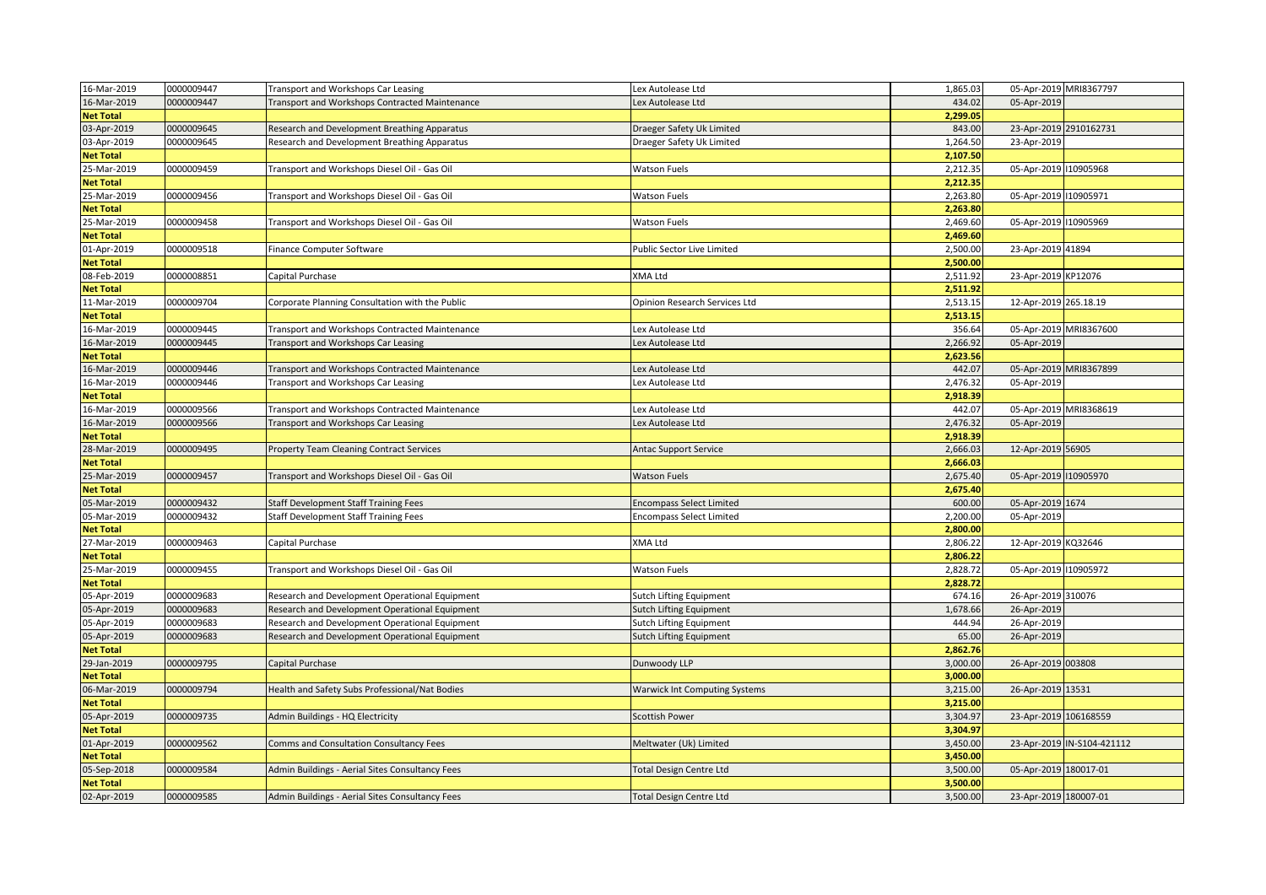| 16-Mar-2019      | 0000009447 | Transport and Workshops Car Leasing             | Lex Autolease Ltd                    | 1,865.03 |                       | 05-Apr-2019 MRI8367797     |
|------------------|------------|-------------------------------------------------|--------------------------------------|----------|-----------------------|----------------------------|
| 16-Mar-2019      | 0000009447 | Transport and Workshops Contracted Maintenance  | Lex Autolease Ltd                    | 434.02   | 05-Apr-2019           |                            |
| <b>Net Total</b> |            |                                                 |                                      | 2,299.05 |                       |                            |
| 03-Apr-2019      | 0000009645 | Research and Development Breathing Apparatus    | Draeger Safety Uk Limited            | 843.00   |                       | 23-Apr-2019 2910162731     |
| 03-Apr-2019      | 0000009645 | Research and Development Breathing Apparatus    | Draeger Safety Uk Limited            | 1,264.50 | 23-Apr-2019           |                            |
| <b>Net Total</b> |            |                                                 |                                      | 2,107.50 |                       |                            |
| 25-Mar-2019      | 0000009459 | Transport and Workshops Diesel Oil - Gas Oil    | <b>Watson Fuels</b>                  | 2,212.35 | 05-Apr-2019 10905968  |                            |
| <b>Net Total</b> |            |                                                 |                                      | 2,212.35 |                       |                            |
| 25-Mar-2019      | 0000009456 | Transport and Workshops Diesel Oil - Gas Oil    | <b>Watson Fuels</b>                  | 2,263.80 | 05-Apr-2019 10905971  |                            |
| <b>Net Total</b> |            |                                                 |                                      | 2,263.80 |                       |                            |
| 25-Mar-2019      | 0000009458 | Transport and Workshops Diesel Oil - Gas Oil    | <b>Watson Fuels</b>                  | 2,469.60 | 05-Apr-2019 10905969  |                            |
| <b>Net Total</b> |            |                                                 |                                      | 2,469.60 |                       |                            |
| 01-Apr-2019      | 0000009518 | Finance Computer Software                       | Public Sector Live Limited           | 2,500.00 | 23-Apr-2019 41894     |                            |
| <b>Net Total</b> |            |                                                 |                                      | 2,500.00 |                       |                            |
| 08-Feb-2019      | 0000008851 | Capital Purchase                                | XMA Ltd                              | 2,511.92 | 23-Apr-2019 KP12076   |                            |
| <b>Net Total</b> |            |                                                 |                                      | 2,511.92 |                       |                            |
| 11-Mar-2019      | 0000009704 | Corporate Planning Consultation with the Public | Opinion Research Services Ltd        | 2,513.15 | 12-Apr-2019 265.18.19 |                            |
|                  |            |                                                 |                                      | 2,513.15 |                       |                            |
| <b>Net Total</b> |            |                                                 |                                      |          |                       |                            |
| 16-Mar-2019      | 0000009445 | Transport and Workshops Contracted Maintenance  | Lex Autolease Ltd                    | 356.64   |                       | 05-Apr-2019 MRI8367600     |
| 16-Mar-2019      | 0000009445 | Transport and Workshops Car Leasing             | ex Autolease Ltd                     | 2,266.92 | 05-Apr-2019           |                            |
| <b>Net Total</b> |            |                                                 |                                      | 2,623.56 |                       |                            |
| 16-Mar-2019      | 0000009446 | Transport and Workshops Contracted Maintenance  | Lex Autolease Ltd                    | 442.07   |                       | 05-Apr-2019 MRI8367899     |
| 16-Mar-2019      | 0000009446 | Transport and Workshops Car Leasing             | Lex Autolease Ltd                    | 2,476.32 | 05-Apr-2019           |                            |
| <b>Net Total</b> |            |                                                 |                                      | 2,918.39 |                       |                            |
| 16-Mar-2019      | 0000009566 | Transport and Workshops Contracted Maintenance  | Lex Autolease Ltd                    | 442.07   |                       | 05-Apr-2019 MRI8368619     |
| 16-Mar-2019      | 0000009566 | Transport and Workshops Car Leasing             | Lex Autolease Ltd                    | 2,476.32 | 05-Apr-2019           |                            |
| <b>Net Total</b> |            |                                                 |                                      | 2,918.39 |                       |                            |
| 28-Mar-2019      | 0000009495 | Property Team Cleaning Contract Services        | Antac Support Service                | 2,666.03 | 12-Apr-2019 56905     |                            |
| <b>Net Total</b> |            |                                                 |                                      | 2,666.03 |                       |                            |
| 25-Mar-2019      | 0000009457 | Transport and Workshops Diesel Oil - Gas Oil    | <b>Watson Fuels</b>                  | 2,675.40 | 05-Apr-2019 10905970  |                            |
| <b>Net Total</b> |            |                                                 |                                      | 2,675.40 |                       |                            |
| 05-Mar-2019      | 0000009432 | Staff Development Staff Training Fees           | <b>Encompass Select Limited</b>      | 600.00   | 05-Apr-2019 1674      |                            |
| 05-Mar-2019      | 0000009432 | Staff Development Staff Training Fees           | <b>Encompass Select Limited</b>      | 2,200.00 | 05-Apr-2019           |                            |
| <b>Net Total</b> |            |                                                 |                                      | 2,800.00 |                       |                            |
| 27-Mar-2019      | 0000009463 | Capital Purchase                                | XMA Ltd                              | 2,806.22 | 12-Apr-2019 KQ32646   |                            |
| <b>Net Total</b> |            |                                                 |                                      | 2,806.22 |                       |                            |
| 25-Mar-2019      | 0000009455 | Transport and Workshops Diesel Oil - Gas Oil    | Watson Fuels                         | 2,828.72 | 05-Apr-2019 10905972  |                            |
| <b>Net Total</b> |            |                                                 |                                      | 2,828.72 |                       |                            |
| 05-Apr-2019      | 0000009683 | Research and Development Operational Equipment  | <b>Sutch Lifting Equipment</b>       | 674.16   | 26-Apr-2019 310076    |                            |
| 05-Apr-2019      | 0000009683 | Research and Development Operational Equipment  | <b>Sutch Lifting Equipment</b>       | 1,678.66 | 26-Apr-2019           |                            |
| 05-Apr-2019      | 0000009683 | Research and Development Operational Equipment  | <b>Sutch Lifting Equipment</b>       | 444.94   | 26-Apr-2019           |                            |
| 05-Apr-2019      | 0000009683 | Research and Development Operational Equipment  | Sutch Lifting Equipment              | 65.00    | 26-Apr-2019           |                            |
| <b>Net Total</b> |            |                                                 |                                      | 2,862.76 |                       |                            |
| 29-Jan-2019      | 0000009795 | Capital Purchase                                | Dunwoody LLP                         | 3,000.00 | 26-Apr-2019 003808    |                            |
| <b>Net Total</b> |            |                                                 |                                      | 3,000.00 |                       |                            |
| 06-Mar-2019      | 0000009794 | Health and Safety Subs Professional/Nat Bodies  | <b>Warwick Int Computing Systems</b> | 3,215.00 | 26-Apr-2019 13531     |                            |
| <b>Net Total</b> |            |                                                 |                                      | 3,215.00 |                       |                            |
| 05-Apr-2019      | 0000009735 | Admin Buildings - HQ Electricity                | <b>Scottish Power</b>                | 3,304.97 | 23-Apr-2019 106168559 |                            |
| <b>Net Total</b> |            |                                                 |                                      | 3,304.97 |                       |                            |
| 01-Apr-2019      | 0000009562 | Comms and Consultation Consultancy Fees         | Meltwater (Uk) Limited               | 3,450.00 |                       | 23-Apr-2019 IN-S104-421112 |
|                  |            |                                                 |                                      | 3,450.00 |                       |                            |
| <b>Net Total</b> | 0000009584 |                                                 |                                      | 3,500.00 | 05-Apr-2019 180017-01 |                            |
| 05-Sep-2018      |            | Admin Buildings - Aerial Sites Consultancy Fees | <b>Total Design Centre Ltd</b>       |          |                       |                            |
| <b>Net Total</b> |            |                                                 |                                      | 3,500.00 |                       |                            |
| 02-Apr-2019      | 0000009585 | Admin Buildings - Aerial Sites Consultancy Fees | <b>Total Design Centre Ltd</b>       | 3,500.00 | 23-Apr-2019 180007-01 |                            |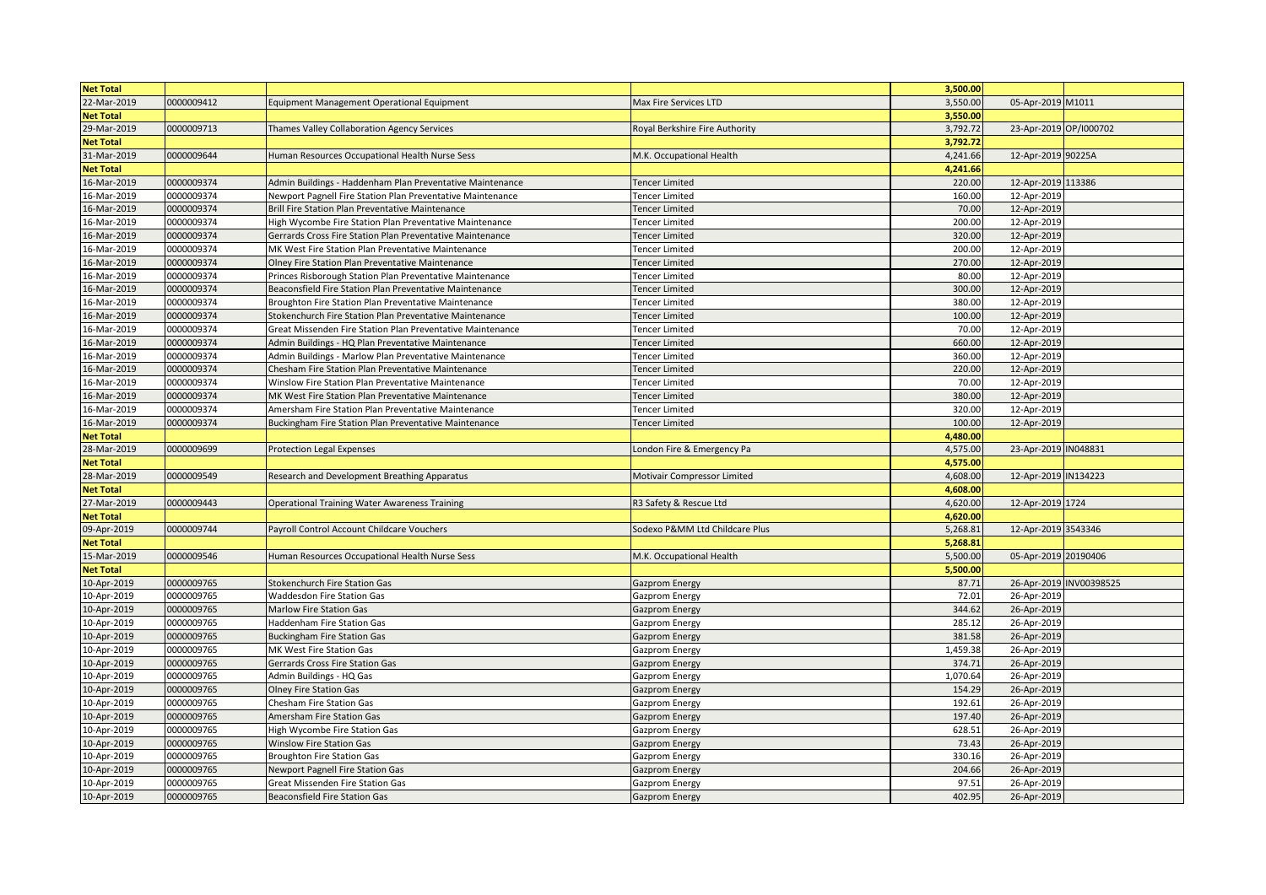| <b>Net Total</b> |            |                                                            |                                | 3,500.00 |                        |                         |
|------------------|------------|------------------------------------------------------------|--------------------------------|----------|------------------------|-------------------------|
| 22-Mar-2019      | 0000009412 | Equipment Management Operational Equipment                 | Max Fire Services LTD          | 3,550.00 | 05-Apr-2019 M1011      |                         |
| <b>Net Total</b> |            |                                                            |                                | 3,550.00 |                        |                         |
| 29-Mar-2019      | 0000009713 | Thames Valley Collaboration Agency Services                | Royal Berkshire Fire Authority | 3,792.72 | 23-Apr-2019 OP/1000702 |                         |
| <b>Net Total</b> |            |                                                            |                                | 3,792.72 |                        |                         |
| 31-Mar-2019      | 0000009644 | Human Resources Occupational Health Nurse Sess             | M.K. Occupational Health       | 4,241.66 | 12-Apr-2019 90225A     |                         |
| <b>Net Total</b> |            |                                                            |                                | 4,241.66 |                        |                         |
| 16-Mar-2019      | 0000009374 | Admin Buildings - Haddenham Plan Preventative Maintenance  | <b>Tencer Limited</b>          | 220.00   | 12-Apr-2019 113386     |                         |
| 16-Mar-2019      | 0000009374 | Newport Pagnell Fire Station Plan Preventative Maintenance | <b>Tencer Limited</b>          | 160.00   | 12-Apr-2019            |                         |
| 16-Mar-2019      | 0000009374 | Brill Fire Station Plan Preventative Maintenance           | <b>Tencer Limited</b>          | 70.00    | 12-Apr-2019            |                         |
| 16-Mar-2019      | 0000009374 | High Wycombe Fire Station Plan Preventative Maintenance    | Tencer Limited                 | 200.00   | 12-Apr-2019            |                         |
| 16-Mar-2019      | 0000009374 | Gerrards Cross Fire Station Plan Preventative Maintenance  | Tencer Limited                 | 320.00   | 12-Apr-2019            |                         |
| 16-Mar-2019      | 0000009374 | MK West Fire Station Plan Preventative Maintenance         | Tencer Limited                 | 200.00   | 12-Apr-2019            |                         |
| 16-Mar-2019      | 0000009374 | Olney Fire Station Plan Preventative Maintenance           | <b>Tencer Limited</b>          | 270.00   | 12-Apr-2019            |                         |
| 16-Mar-2019      | 0000009374 | Princes Risborough Station Plan Preventative Maintenance   | Tencer Limited                 | 80.00    | 12-Apr-2019            |                         |
| 16-Mar-2019      | 0000009374 | Beaconsfield Fire Station Plan Preventative Maintenance    | <b>Tencer Limited</b>          | 300.00   | 12-Apr-2019            |                         |
| 16-Mar-2019      | 0000009374 | Broughton Fire Station Plan Preventative Maintenance       | Tencer Limited                 | 380.00   | 12-Apr-2019            |                         |
| 16-Mar-2019      | 0000009374 | Stokenchurch Fire Station Plan Preventative Maintenance    | <b>Tencer Limited</b>          | 100.00   | 12-Apr-2019            |                         |
| 16-Mar-2019      | 0000009374 | Great Missenden Fire Station Plan Preventative Maintenance | <b>Tencer Limited</b>          | 70.00    | 12-Apr-2019            |                         |
| 16-Mar-2019      | 0000009374 | Admin Buildings - HQ Plan Preventative Maintenance         | <b>Tencer Limited</b>          | 660.00   | 12-Apr-2019            |                         |
| 16-Mar-2019      | 0000009374 | Admin Buildings - Marlow Plan Preventative Maintenance     | Tencer Limited                 | 360.00   | 12-Apr-2019            |                         |
| 16-Mar-2019      | 0000009374 | Chesham Fire Station Plan Preventative Maintenance         | <b>Tencer Limited</b>          | 220.00   | 12-Apr-2019            |                         |
| 16-Mar-2019      | 0000009374 | Winslow Fire Station Plan Preventative Maintenance         | <b>Tencer Limited</b>          | 70.00    | 12-Apr-2019            |                         |
| 16-Mar-2019      | 0000009374 | MK West Fire Station Plan Preventative Maintenance         | Tencer Limited                 | 380.00   | 12-Apr-2019            |                         |
| 16-Mar-2019      | 0000009374 | Amersham Fire Station Plan Preventative Maintenance        | <b>Tencer Limited</b>          | 320.00   | 12-Apr-2019            |                         |
| 16-Mar-2019      | 0000009374 | Buckingham Fire Station Plan Preventative Maintenance      | <b>Tencer Limited</b>          | 100.00   | 12-Apr-2019            |                         |
| <b>Net Total</b> |            |                                                            |                                | 4,480.00 |                        |                         |
| 28-Mar-2019      | 0000009699 | <b>Protection Legal Expenses</b>                           | London Fire & Emergency Pa     | 4,575.00 | 23-Apr-2019 IN048831   |                         |
| <b>Net Total</b> |            |                                                            |                                | 4,575.00 |                        |                         |
| 28-Mar-2019      | 0000009549 | Research and Development Breathing Apparatus               | Motivair Compressor Limited    | 4,608.00 | 12-Apr-2019 IN134223   |                         |
| <b>Net Total</b> |            |                                                            |                                | 4,608.00 |                        |                         |
| 27-Mar-2019      | 0000009443 | <b>Operational Training Water Awareness Training</b>       | R3 Safety & Rescue Ltd         | 4,620.00 | 12-Apr-2019 1724       |                         |
| <b>Net Total</b> |            |                                                            |                                | 4,620.00 |                        |                         |
| 09-Apr-2019      | 0000009744 | Payroll Control Account Childcare Vouchers                 | Sodexo P&MM Ltd Childcare Plus | 5,268.81 | 12-Apr-2019 3543346    |                         |
| <b>Net Total</b> |            |                                                            |                                | 5,268.81 |                        |                         |
| 15-Mar-2019      | 0000009546 | Human Resources Occupational Health Nurse Sess             | M.K. Occupational Health       | 5,500.00 | 05-Apr-2019 20190406   |                         |
| <b>Net Total</b> |            |                                                            |                                | 5,500.00 |                        |                         |
| 10-Apr-2019      | 0000009765 | Stokenchurch Fire Station Gas                              | Gazprom Energy                 | 87.71    |                        | 26-Apr-2019 INV00398525 |
| 10-Apr-2019      | 0000009765 | Waddesdon Fire Station Gas                                 | Gazprom Energy                 | 72.01    | 26-Apr-2019            |                         |
| 10-Apr-2019      | 0000009765 | <b>Marlow Fire Station Gas</b>                             | <b>Gazprom Energy</b>          | 344.62   | 26-Apr-2019            |                         |
| 10-Apr-2019      | 0000009765 | Haddenham Fire Station Gas                                 | Gazprom Energy                 | 285.12   | 26-Apr-2019            |                         |
| 10-Apr-2019      | 0000009765 | <b>Buckingham Fire Station Gas</b>                         | Gazprom Energy                 | 381.58   | 26-Apr-2019            |                         |
| 10-Apr-2019      | 0000009765 | MK West Fire Station Gas                                   | Gazprom Energy                 | 1,459.38 | 26-Apr-2019            |                         |
| 10-Apr-2019      | 0000009765 | Gerrards Cross Fire Station Gas                            | Gazprom Energy                 | 374.71   | 26-Apr-2019            |                         |
| 10-Apr-2019      | 0000009765 | Admin Buildings - HQ Gas                                   | Gazprom Energy                 | 1,070.64 | 26-Apr-2019            |                         |
| 10-Apr-2019      | 0000009765 | <b>Olney Fire Station Gas</b>                              | Gazprom Energy                 | 154.29   | 26-Apr-2019            |                         |
| 10-Apr-2019      | 0000009765 | <b>Chesham Fire Station Gas</b>                            | Gazprom Energy                 | 192.61   | 26-Apr-2019            |                         |
| 10-Apr-2019      | 0000009765 | Amersham Fire Station Gas                                  | Gazprom Energy                 | 197.40   | 26-Apr-2019            |                         |
| 10-Apr-2019      | 0000009765 | High Wycombe Fire Station Gas                              | Gazprom Energy                 | 628.51   | 26-Apr-2019            |                         |
| 10-Apr-2019      | 0000009765 | Winslow Fire Station Gas                                   | Gazprom Energy                 | 73.43    | 26-Apr-2019            |                         |
| 10-Apr-2019      | 0000009765 | <b>Broughton Fire Station Gas</b>                          | Gazprom Energy                 | 330.16   | 26-Apr-2019            |                         |
| 10-Apr-2019      | 0000009765 | Newport Pagnell Fire Station Gas                           | <b>Gazprom Energy</b>          | 204.66   | 26-Apr-2019            |                         |
| 10-Apr-2019      | 0000009765 | Great Missenden Fire Station Gas                           | Gazprom Energy                 | 97.51    | 26-Apr-2019            |                         |
| 10-Apr-2019      | 0000009765 | <b>Beaconsfield Fire Station Gas</b>                       | <b>Gazprom Energy</b>          | 402.95   | 26-Apr-2019            |                         |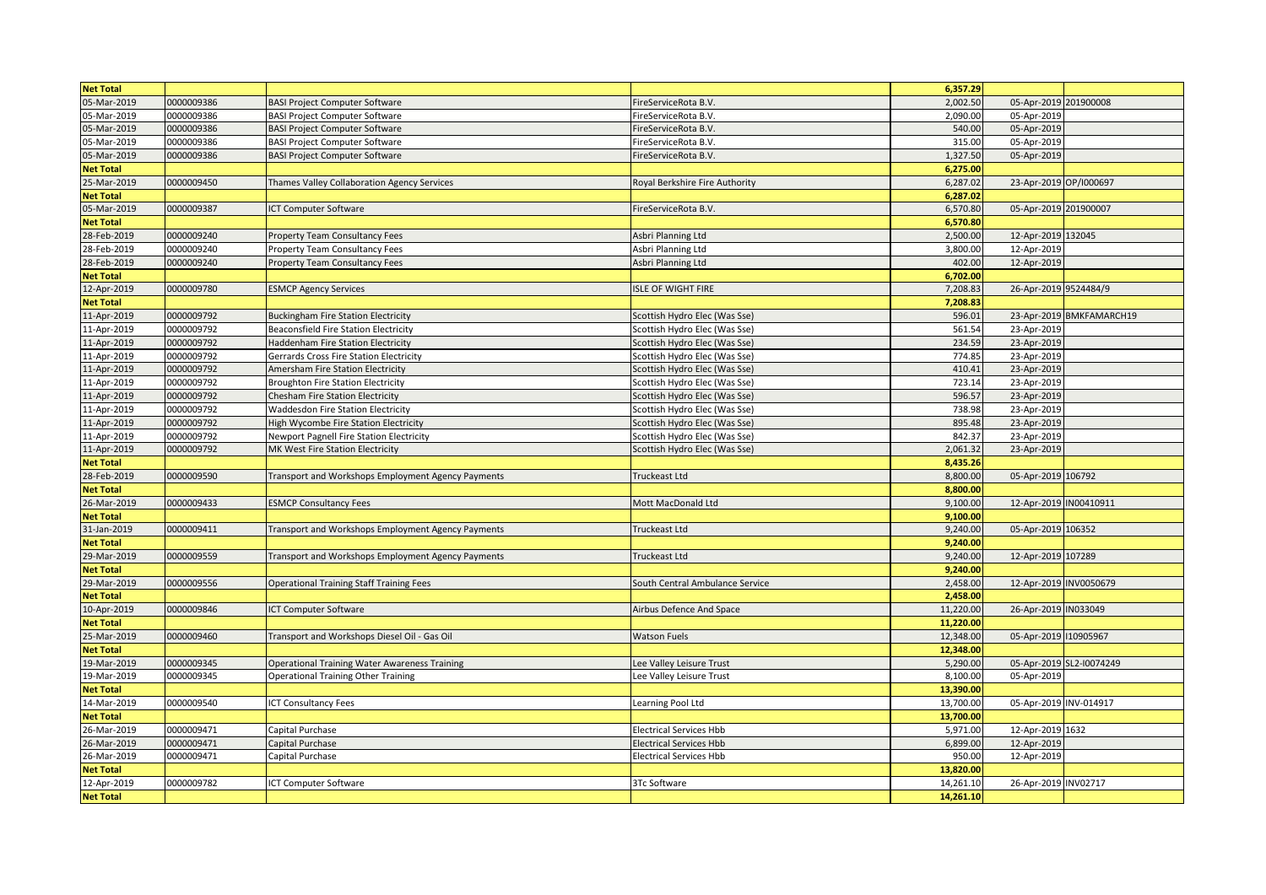| <b>Net Total</b>                |            |                                                    |                                 | 6,357.29               |                        |                          |
|---------------------------------|------------|----------------------------------------------------|---------------------------------|------------------------|------------------------|--------------------------|
| 05-Mar-2019                     | 0000009386 | <b>BASI Project Computer Software</b>              | FireServiceRota B.V.            | 2,002.50               | 05-Apr-2019 201900008  |                          |
| 05-Mar-2019                     | 0000009386 | <b>BASI Project Computer Software</b>              | FireServiceRota B.V.            | 2,090.00               | 05-Apr-2019            |                          |
| 05-Mar-2019                     | 0000009386 | <b>BASI Project Computer Software</b>              | FireServiceRota B.V.            | 540.00                 | 05-Apr-2019            |                          |
| 05-Mar-2019                     | 0000009386 | <b>BASI Project Computer Software</b>              | FireServiceRota B.V.            | 315.00                 | 05-Apr-2019            |                          |
| 05-Mar-2019                     | 0000009386 | <b>BASI Project Computer Software</b>              | FireServiceRota B.V.            | 1,327.50               | 05-Apr-2019            |                          |
| <b>Net Total</b>                |            |                                                    |                                 | 6,275.00               |                        |                          |
| 25-Mar-2019                     | 0000009450 | Thames Valley Collaboration Agency Services        | Royal Berkshire Fire Authority  | 6,287.02               | 23-Apr-2019 OP/I000697 |                          |
| <b>Net Total</b>                |            |                                                    |                                 | 6,287.02               |                        |                          |
| 05-Mar-2019                     | 0000009387 | ICT Computer Software                              | FireServiceRota B.V.            | 6,570.80               | 05-Apr-2019 201900007  |                          |
| <b>Net Total</b>                |            |                                                    |                                 | 6,570.80               |                        |                          |
| 28-Feb-2019                     | 0000009240 | <b>Property Team Consultancy Fees</b>              | Asbri Planning Ltd              | 2,500.00               | 12-Apr-2019 132045     |                          |
| 28-Feb-2019                     | 0000009240 | Property Team Consultancy Fees                     | Asbri Planning Ltd              | 3,800.00               | 12-Apr-2019            |                          |
| 28-Feb-2019                     | 0000009240 | Property Team Consultancy Fees                     | Asbri Planning Ltd              | 402.00                 | 12-Apr-2019            |                          |
| <b>Net Total</b>                |            |                                                    |                                 | 6,702.00               |                        |                          |
| 12-Apr-2019                     | 0000009780 | <b>ESMCP Agency Services</b>                       | ISLE OF WIGHT FIRE              | 7,208.83               | 26-Apr-2019 9524484/9  |                          |
| <b>Net Total</b>                |            |                                                    |                                 | 7,208.83               |                        |                          |
| 11-Apr-2019                     | 0000009792 | <b>Buckingham Fire Station Electricity</b>         | Scottish Hydro Elec (Was Sse)   | 596.01                 |                        | 23-Apr-2019 BMKFAMARCH19 |
| 11-Apr-2019                     | 0000009792 | Beaconsfield Fire Station Electricity              | Scottish Hydro Elec (Was Sse)   | 561.54                 | 23-Apr-2019            |                          |
| 11-Apr-2019                     | 0000009792 | Haddenham Fire Station Electricity                 | Scottish Hydro Elec (Was Sse)   | 234.59                 | 23-Apr-2019            |                          |
| 11-Apr-2019                     | 0000009792 | Gerrards Cross Fire Station Electricity            | Scottish Hydro Elec (Was Sse)   | 774.85                 | 23-Apr-2019            |                          |
| 11-Apr-2019                     | 0000009792 | Amersham Fire Station Electricity                  | Scottish Hydro Elec (Was Sse)   | 410.41                 | 23-Apr-2019            |                          |
| 11-Apr-2019                     | 0000009792 | <b>Broughton Fire Station Electricity</b>          | Scottish Hydro Elec (Was Sse)   | 723.14                 | 23-Apr-2019            |                          |
| 11-Apr-2019                     | 0000009792 | Chesham Fire Station Electricity                   | Scottish Hydro Elec (Was Sse)   | 596.57                 | 23-Apr-2019            |                          |
| 11-Apr-2019                     | 0000009792 | <b>Waddesdon Fire Station Electricity</b>          | Scottish Hydro Elec (Was Sse)   | 738.98                 | 23-Apr-2019            |                          |
| 11-Apr-2019                     | 0000009792 | High Wycombe Fire Station Electricity              | Scottish Hydro Elec (Was Sse)   | 895.48                 | 23-Apr-2019            |                          |
| 11-Apr-2019                     | 0000009792 | Newport Pagnell Fire Station Electricity           | Scottish Hydro Elec (Was Sse)   | 842.37                 | 23-Apr-2019            |                          |
| 11-Apr-2019                     | 0000009792 | MK West Fire Station Electricity                   | Scottish Hydro Elec (Was Sse)   | 2,061.32               | 23-Apr-2019            |                          |
| <b>Net Total</b>                |            |                                                    |                                 | 8,435.26               |                        |                          |
| 28-Feb-2019                     | 0000009590 | Transport and Workshops Employment Agency Payments | Truckeast Ltd                   | 8,800.00               | 05-Apr-2019 106792     |                          |
| <b>Net Total</b>                |            |                                                    |                                 | 8,800.00               |                        |                          |
| 26-Mar-2019                     | 0000009433 | <b>ESMCP Consultancy Fees</b>                      | Mott MacDonald Ltd              | 9,100.00               | 12-Apr-2019 IN00410911 |                          |
| <b>Net Total</b>                |            |                                                    |                                 | 9,100.00               |                        |                          |
| 31-Jan-2019                     | 0000009411 | Transport and Workshops Employment Agency Payments | <b>Truckeast Ltd</b>            | 9,240.00               | 05-Apr-2019 106352     |                          |
| <b>Net Total</b>                |            |                                                    |                                 | 9,240.00               |                        |                          |
| 29-Mar-2019                     | 0000009559 | Transport and Workshops Employment Agency Payments | Truckeast Ltd                   | 9,240.00               | 12-Apr-2019 107289     |                          |
| <b>Net Total</b>                |            |                                                    |                                 | 9,240.00               |                        |                          |
| 29-Mar-2019                     | 0000009556 | <b>Operational Training Staff Training Fees</b>    | South Central Ambulance Service | 2,458.00               | 12-Apr-2019 INV0050679 |                          |
| <b>Net Total</b>                |            |                                                    |                                 | 2,458.00               |                        |                          |
| 10-Apr-2019                     | 0000009846 | ICT Computer Software                              | Airbus Defence And Space        | 11,220.00              | 26-Apr-2019 IN033049   |                          |
| <b>Net Total</b>                |            |                                                    |                                 | 11,220.00              |                        |                          |
| 25-Mar-2019                     | 0000009460 | Transport and Workshops Diesel Oil - Gas Oil       | <b>Watson Fuels</b>             | 12,348.00              | 05-Apr-2019   10905967 |                          |
| <b>Net Total</b>                |            |                                                    |                                 | 12,348.00              |                        |                          |
| 19-Mar-2019                     | 0000009345 | Operational Training Water Awareness Training      | Lee Valley Leisure Trust        | 5,290.00               |                        | 05-Apr-2019 SL2-I0074249 |
| 19-Mar-2019                     | 0000009345 | <b>Operational Training Other Training</b>         | ee Valley Leisure Trust.        | 8,100.00               | 05-Apr-2019            |                          |
| <b>Net Total</b>                |            |                                                    |                                 | 13,390.00              |                        |                          |
| 14-Mar-2019                     | 0000009540 | <b>ICT Consultancy Fees</b>                        | Learning Pool Ltd               | 13,700.00              | 05-Apr-2019 INV-014917 |                          |
| <b>Net Total</b>                |            |                                                    |                                 | 13,700.00              |                        |                          |
| 26-Mar-2019                     | 0000009471 | Capital Purchase                                   | <b>Electrical Services Hbb</b>  | 5,971.00               | 12-Apr-2019 1632       |                          |
| 26-Mar-2019                     | 0000009471 | Capital Purchase                                   | <b>Electrical Services Hbb</b>  | 6,899.00               | 12-Apr-2019            |                          |
| 26-Mar-2019                     | 0000009471 | Capital Purchase                                   | Electrical Services Hbb         | 950.00                 | 12-Apr-2019            |                          |
| <b>Net Total</b>                |            |                                                    |                                 | 13,820.00              |                        |                          |
| 12-Apr-2019<br><b>Net Total</b> | 0000009782 | <b>ICT Computer Software</b>                       | 3Tc Software                    | 14,261.10<br>14,261.10 | 26-Apr-2019 INV02717   |                          |
|                                 |            |                                                    |                                 |                        |                        |                          |